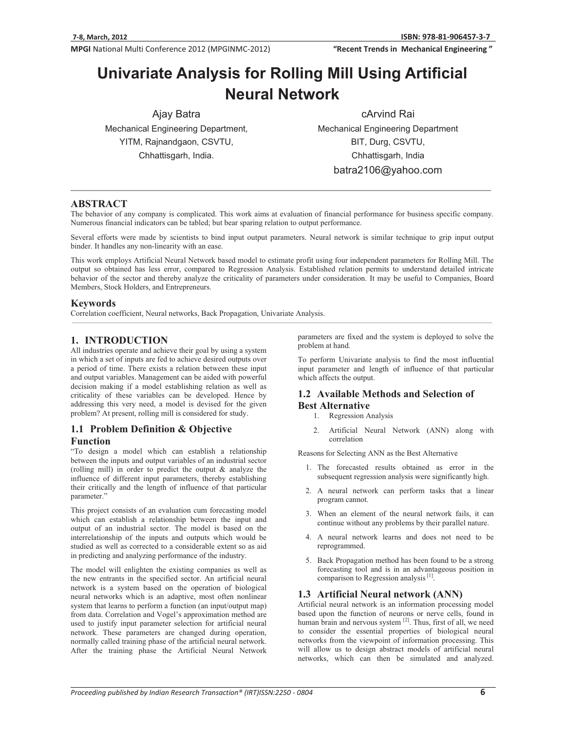"Recent Trends in Mechanical Engineering"

# **Univariate Analysis for Rolling Mill Using Artificial Neural Network**

Ajay Batra Mechanical Engineering Department, YITM, Rajnandgaon, CSVTU, Chhattisgarh, India.

cArvind Rai Mechanical Engineering Department BIT, Durg, CSVTU, Chhattisgarh, India batra2106@yahoo.com

## **ABSTRACT**

The behavior of any company is complicated. This work aims at evaluation of financial performance for business specific company. Numerous financial indicators can be tabled; but bear sparing relation to output performance.

Several efforts were made by scientists to bind input output parameters. Neural network is similar technique to grip input output binder. It handles any non-linearity with an ease.

This work employs Artificial Neural Network based model to estimate profit using four independent parameters for Rolling Mill. The output so obtained has less error, compared to Regression Analysis. Established relation permits to understand detailed intricate behavior of the sector and thereby analyze the criticality of parameters under consideration. It may be useful to Companies, Board Members, Stock Holders, and Entrepreneurs.

#### **Keywords**

Correlation coefficient, Neural networks, Back Propagation, Univariate Analysis.

## **1. INTRODUCTION**

All industries operate and achieve their goal by using a system in which a set of inputs are fed to achieve desired outputs over a period of time. There exists a relation between these input and output variables. Management can be aided with powerful decision making if a model establishing relation as well as criticality of these variables can be developed. Hence by addressing this very need, a model is devised for the given problem? At present, rolling mill is considered for study.

## **1.1 Problem Definition & Objective Function**

"To design a model which can establish a relationship between the inputs and output variables of an industrial sector (rolling mill) in order to predict the output & analyze the influence of different input parameters, thereby establishing their critically and the length of influence of that particular parameter."

This project consists of an evaluation cum forecasting model which can establish a relationship between the input and output of an industrial sector. The model is based on the interrelationship of the inputs and outputs which would be studied as well as corrected to a considerable extent so as aid in predicting and analyzing performance of the industry.

The model will enlighten the existing companies as well as the new entrants in the specified sector. An artificial neural network is a system based on the operation of biological neural networks which is an adaptive, most often nonlinear system that learns to perform a function (an input/output map) from data. Correlation and Vogel's approximation method are used to justify input parameter selection for artificial neural network. These parameters are changed during operation, normally called training phase of the artificial neural network. After the training phase the Artificial Neural Network

parameters are fixed and the system is deployed to solve the problem at hand.

To perform Univariate analysis to find the most influential input parameter and length of influence of that particular which affects the output.

## **1.2 Available Methods and Selection of Best Alternative**

- 1. Regression Analysis
- 2. Artificial Neural Network (ANN) along with correlation

Reasons for Selecting ANN as the Best Alternative

- 1. The forecasted results obtained as error in the subsequent regression analysis were significantly high.
- 2. A neural network can perform tasks that a linear program cannot.
- 3. When an element of the neural network fails, it can continue without any problems by their parallel nature.
- 4. A neural network learns and does not need to be reprogrammed.
- 5. Back Propagation method has been found to be a strong forecasting tool and is in an advantageous position in comparison to Regression analysis [1].

## **1.3 Artificial Neural network (ANN)**

Artificial neural network is an information processing model based upon the function of neurons or nerve cells, found in human brain and nervous system <sup>[2]</sup>. Thus, first of all, we need to consider the essential properties of biological neural networks from the viewpoint of information processing. This will allow us to design abstract models of artificial neural networks, which can then be simulated and analyzed.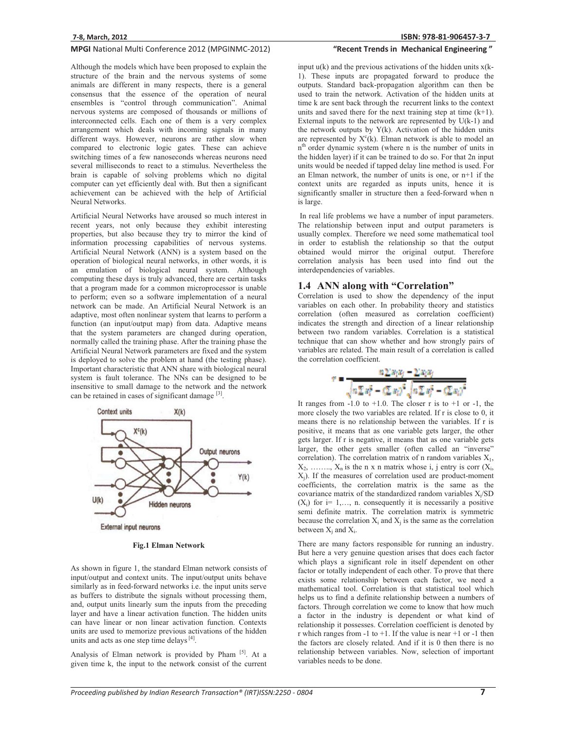Although the models which have been proposed to explain the structure of the brain and the nervous systems of some animals are different in many respects, there is a general consensus that the essence of the operation of neural ensembles is "control through communication". Animal nervous systems are composed of thousands or millions of interconnected cells. Each one of them is a very complex arrangement which deals with incoming signals in many different ways. However, neurons are rather slow when compared to electronic logic gates. These can achieve switching times of a few nanoseconds whereas neurons need several milliseconds to react to a stimulus. Nevertheless the brain is capable of solving problems which no digital computer can yet efficiently deal with. But then a significant achievement can be achieved with the help of Artificial Neural Networks.

Artificial Neural Networks have aroused so much interest in recent years, not only because they exhibit interesting properties, but also because they try to mirror the kind of information processing capabilities of nervous systems. Artificial Neural Network (ANN) is a system based on the operation of biological neural networks, in other words, it is an emulation of biological neural system. Although computing these days is truly advanced, there are certain tasks that a program made for a common microprocessor is unable to perform; even so a software implementation of a neural network can be made. An Artificial Neural Network is an adaptive, most often nonlinear system that learns to perform a function (an input/output map) from data. Adaptive means that the system parameters are changed during operation, normally called the training phase. After the training phase the Artificial Neural Network parameters are fixed and the system is deployed to solve the problem at hand (the testing phase). Important characteristic that ANN share with biological neural system is fault tolerance. The NNs can be designed to be insensitive to small damage to the network and the network can be retained in cases of significant damage [3].



#### **Fig.1 Elman Network**

As shown in figure 1, the standard Elman network consists of input/output and context units. The input/output units behave similarly as in feed-forward networks i.e. the input units serve as buffers to distribute the signals without processing them, and, output units linearly sum the inputs from the preceding layer and have a linear activation function. The hidden units can have linear or non linear activation function. Contexts units are used to memorize previous activations of the hidden units and acts as one step time delays [4].

Analysis of Elman network is provided by Pham [5]. At a given time k, the input to the network consist of the current

## "Recent Trends in Mechanical Engineering"

input  $u(k)$  and the previous activations of the hidden units  $x(k-$ 1). These inputs are propagated forward to produce the outputs. Standard back-propagation algorithm can then be used to train the network. Activation of the hidden units at time k are sent back through the recurrent links to the context units and saved there for the next training step at time  $(k+1)$ . External inputs to the network are represented by  $U(k-1)$  and the network outputs by Y(k). Activation of the hidden units are represented by  $X^c(k)$ . Elman network is able to model an n<sup>th</sup> order dynamic system (where n is the number of units in the hidden layer) if it can be trained to do so. For that 2n input units would be needed if tapped delay line method is used. For an Elman network, the number of units is one, or n+1 if the context units are regarded as inputs units, hence it is significantly smaller in structure then a feed-forward when n is large.

 In real life problems we have a number of input parameters. The relationship between input and output parameters is usually complex. Therefore we need some mathematical tool in order to establish the relationship so that the output obtained would mirror the original output. Therefore correlation analysis has been used into find out the interdependencies of variables.

#### **1.4 ANN along with "Correlation"**

ø

Correlation is used to show the dependency of the input variables on each other. In probability theory and statistics correlation (often measured as correlation coefficient) indicates the strength and direction of a linear relationship between two random variables. Correlation is a statistical technique that can show whether and how strongly pairs of variables are related. The main result of a correlation is called the correlation coefficient.

$$
=\frac{n\Sigma xy-\Sigma xy}{\sqrt{n\Sigma x_i^2-\left(\Sigma x_i\right)^2}\sqrt{n\Sigma x_i^2-\left(\Sigma x_i\right)^2}}
$$

It ranges from  $-1.0$  to  $+1.0$ . The closer r is to  $+1$  or  $-1$ , the more closely the two variables are related. If r is close to 0, it means there is no relationship between the variables. If r is positive, it means that as one variable gets larger, the other gets larger. If r is negative, it means that as one variable gets larger, the other gets smaller (often called an "inverse" correlation). The correlation matrix of n random variables  $X_1$ ,  $X_2, \ldots, X_n$  is the n x n matrix whose i, j entry is corr  $(X_i,$ Xj). If the measures of correlation used are product-moment coefficients, the correlation matrix is the same as the covariance matrix of the standardized random variables  $X_i/SD$  $(X_i)$  for  $i=1,\ldots,n$ . consequently it is necessarily a positive semi definite matrix. The correlation matrix is symmetric because the correlation  $X_i$  and  $X_j$  is the same as the correlation between  $X_i$  and  $X_i$ .

There are many factors responsible for running an industry. But here a very genuine question arises that does each factor which plays a significant role in itself dependent on other factor or totally independent of each other. To prove that there exists some relationship between each factor, we need a mathematical tool. Correlation is that statistical tool which helps us to find a definite relationship between a numbers of factors. Through correlation we come to know that how much a factor in the industry is dependent or what kind of relationship it possesses. Correlation coefficient is denoted by r which ranges from  $-1$  to  $+1$ . If the value is near  $+1$  or  $-1$  then the factors are closely related. And if it is 0 then there is no relationship between variables. Now, selection of important variables needs to be done.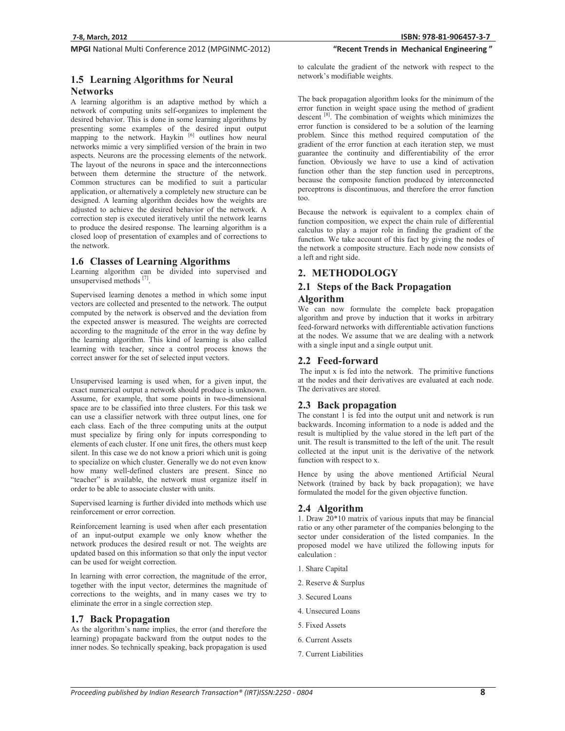## "Recent Trends in Mechanical Engineering"

## **1.5 Learning Algorithms for Neural Networks**

A learning algorithm is an adaptive method by which a network of computing units self-organizes to implement the desired behavior. This is done in some learning algorithms by presenting some examples of the desired input output mapping to the network. Haykin [6] outlines how neural networks mimic a very simplified version of the brain in two aspects. Neurons are the processing elements of the network. The layout of the neurons in space and the interconnections between them determine the structure of the network. Common structures can be modified to suit a particular application, or alternatively a completely new structure can be designed. A learning algorithm decides how the weights are adjusted to achieve the desired behavior of the network. A correction step is executed iteratively until the network learns to produce the desired response. The learning algorithm is a closed loop of presentation of examples and of corrections to the network.

#### **1.6 Classes of Learning Algorithms**

Learning algorithm can be divided into supervised and unsupervised methods [7].

Supervised learning denotes a method in which some input vectors are collected and presented to the network. The output computed by the network is observed and the deviation from the expected answer is measured. The weights are corrected according to the magnitude of the error in the way define by the learning algorithm. This kind of learning is also called learning with teacher, since a control process knows the correct answer for the set of selected input vectors.

Unsupervised learning is used when, for a given input, the exact numerical output a network should produce is unknown. Assume, for example, that some points in two-dimensional space are to be classified into three clusters. For this task we can use a classifier network with three output lines, one for each class. Each of the three computing units at the output must specialize by firing only for inputs corresponding to elements of each cluster. If one unit fires, the others must keep silent. In this case we do not know a priori which unit is going to specialize on which cluster. Generally we do not even know how many well-defined clusters are present. Since no "teacher" is available, the network must organize itself in order to be able to associate cluster with units.

Supervised learning is further divided into methods which use reinforcement or error correction.

Reinforcement learning is used when after each presentation of an input-output example we only know whether the network produces the desired result or not. The weights are updated based on this information so that only the input vector can be used for weight correction.

In learning with error correction, the magnitude of the error, together with the input vector, determines the magnitude of corrections to the weights, and in many cases we try to eliminate the error in a single correction step.

#### **1.7 Back Propagation**

As the algorithm's name implies, the error (and therefore the learning) propagate backward from the output nodes to the inner nodes. So technically speaking, back propagation is used to calculate the gradient of the network with respect to the network's modifiable weights.

The back propagation algorithm looks for the minimum of the error function in weight space using the method of gradient descent [8]. The combination of weights which minimizes the error function is considered to be a solution of the learning problem. Since this method required computation of the gradient of the error function at each iteration step, we must guarantee the continuity and differentiability of the error function. Obviously we have to use a kind of activation function other than the step function used in perceptrons, because the composite function produced by interconnected perceptrons is discontinuous, and therefore the error function too.

Because the network is equivalent to a complex chain of function composition, we expect the chain rule of differential calculus to play a major role in finding the gradient of the function. We take account of this fact by giving the nodes of the network a composite structure. Each node now consists of a left and right side.

### **2. METHODOLOGY**

## **2.1 Steps of the Back Propagation Algorithm**

We can now formulate the complete back propagation algorithm and prove by induction that it works in arbitrary feed-forward networks with differentiable activation functions at the nodes. We assume that we are dealing with a network with a single input and a single output unit.

## **2.2 Feed-forward**

 The input x is fed into the network. The primitive functions at the nodes and their derivatives are evaluated at each node. The derivatives are stored.

## **2.3 Back propagation**

The constant  $\overline{1}$  is fed into the output unit and network is run backwards. Incoming information to a node is added and the result is multiplied by the value stored in the left part of the unit. The result is transmitted to the left of the unit. The result collected at the input unit is the derivative of the network function with respect to x.

Hence by using the above mentioned Artificial Neural Network (trained by back by back propagation); we have formulated the model for the given objective function.

## **2.4 Algorithm**

1. Draw 20\*10 matrix of various inputs that may be financial ratio or any other parameter of the companies belonging to the sector under consideration of the listed companies. In the proposed model we have utilized the following inputs for calculation :

- 1. Share Capital
- 2. Reserve & Surplus
- 3. Secured Loans
- 4. Unsecured Loans
- 5. Fixed Assets
- 6. Current Assets
- 7. Current Liabilities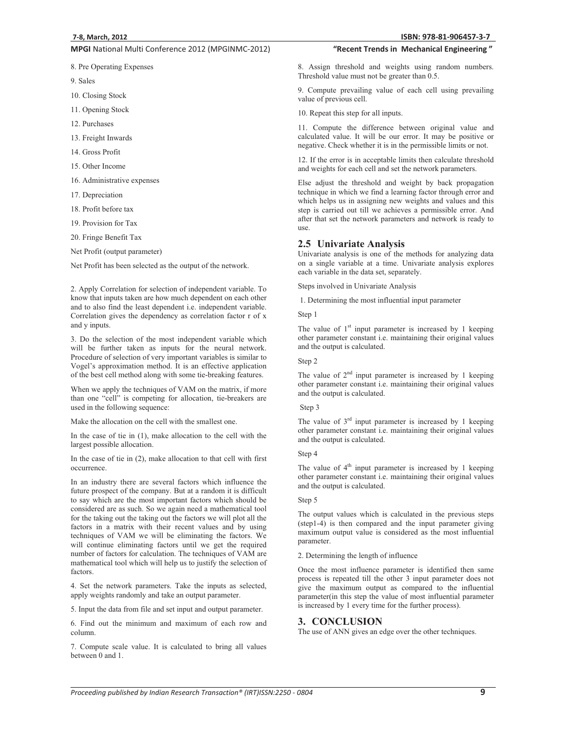8. Pre Operating Expenses

9. Sales

- 10. Closing Stock
- 11. Opening Stock
- 12. Purchases
- 13. Freight Inwards
- 14. Gross Profit
- 15. Other Income
- 16. Administrative expenses
- 17. Depreciation
- 18. Profit before tax
- 19. Provision for Tax
- 20. Fringe Benefit Tax

Net Profit (output parameter)

Net Profit has been selected as the output of the network.

2. Apply Correlation for selection of independent variable. To know that inputs taken are how much dependent on each other and to also find the least dependent i.e. independent variable. Correlation gives the dependency as correlation factor r of x and y inputs.

3. Do the selection of the most independent variable which will be further taken as inputs for the neural network. Procedure of selection of very important variables is similar to Vogel's approximation method. It is an effective application of the best cell method along with some tie-breaking features.

When we apply the techniques of VAM on the matrix, if more than one "cell" is competing for allocation, tie-breakers are used in the following sequence:

Make the allocation on the cell with the smallest one.

In the case of tie in (1), make allocation to the cell with the largest possible allocation.

In the case of tie in (2), make allocation to that cell with first occurrence.

In an industry there are several factors which influence the future prospect of the company. But at a random it is difficult to say which are the most important factors which should be considered are as such. So we again need a mathematical tool for the taking out the taking out the factors we will plot all the factors in a matrix with their recent values and by using techniques of VAM we will be eliminating the factors. We will continue eliminating factors until we get the required number of factors for calculation. The techniques of VAM are mathematical tool which will help us to justify the selection of factors.

4. Set the network parameters. Take the inputs as selected, apply weights randomly and take an output parameter.

5. Input the data from file and set input and output parameter.

6. Find out the minimum and maximum of each row and column.

7. Compute scale value. It is calculated to bring all values between 0 and 1.

## "Recent Trends in Mechanical Engineering"

8. Assign threshold and weights using random numbers. Threshold value must not be greater than 0.5.

9. Compute prevailing value of each cell using prevailing value of previous cell.

10. Repeat this step for all inputs.

11. Compute the difference between original value and calculated value. It will be our error. It may be positive or negative. Check whether it is in the permissible limits or not.

12. If the error is in acceptable limits then calculate threshold and weights for each cell and set the network parameters.

Else adjust the threshold and weight by back propagation technique in which we find a learning factor through error and which helps us in assigning new weights and values and this step is carried out till we achieves a permissible error. And after that set the network parameters and network is ready to use.

#### **2.5 Univariate Analysis**

Univariate analysis is one of the methods for analyzing data on a single variable at a time. Univariate analysis explores each variable in the data set, separately.

Steps involved in Univariate Analysis

1. Determining the most influential input parameter

Step 1

The value of  $1<sup>st</sup>$  input parameter is increased by 1 keeping other parameter constant i.e. maintaining their original values and the output is calculated.

Step 2

The value of  $2<sup>nd</sup>$  input parameter is increased by 1 keeping other parameter constant i.e. maintaining their original values and the output is calculated.

Step 3

The value of  $3<sup>rd</sup>$  input parameter is increased by 1 keeping other parameter constant i.e. maintaining their original values and the output is calculated.

Step 4

The value of  $4<sup>th</sup>$  input parameter is increased by 1 keeping other parameter constant i.e. maintaining their original values and the output is calculated.

#### Step 5

The output values which is calculated in the previous steps (step1-4) is then compared and the input parameter giving maximum output value is considered as the most influential parameter.

2. Determining the length of influence

Once the most influence parameter is identified then same process is repeated till the other 3 input parameter does not give the maximum output as compared to the influential parameter(in this step the value of most influential parameter is increased by 1 every time for the further process).

#### **3. CONCLUSION**

The use of ANN gives an edge over the other techniques.